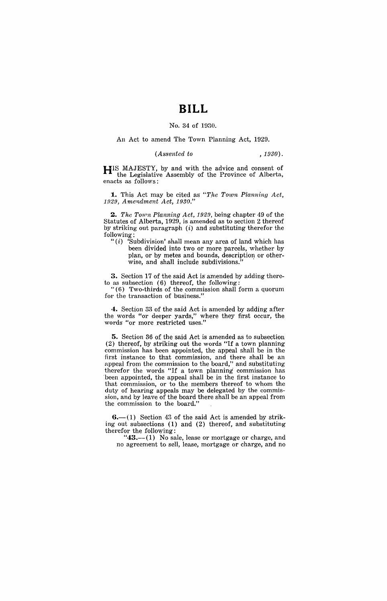# **BILL**

### No. 34 of 1930.

#### An Act to amend The Town Planning Act, 1929.

#### (*Assented to* , 1930).

HIS MAJESTY, by and with the advice and consent of the Legislative Assembly of the Province of Alberta, enacts as follows:

**1.** This Act may be cited as "The Town Planning Act, *1929, Amendment Act, 1930.*"

2. *The Town Planning Act, 1929*, being chapter 49 of the Statutes of Alberta, 1929, is amended as to section 2 thereof by striking out paragraph  $(i)$  and substituting therefor the following:

" $(i)$  'Subdivision' shall mean any area of land which has been divided into two or more parcels, whether by plan, or by metes and bounds, description or otherwise, and shall include subdivisions.'

3. Section 17 of the said Act is amended by adding thereto as subsection (6) thereof, the following:

" (6) Two-thirds of the commission shall form a quorum for the transaction of business."

4. Section 33 of the said Act is amended by adding after the words "or deeper yards," where they first occur, the words' "or more restricted uses."

5. Section 36 of the said Act is amended as to subsection (2) thereof, by striking out the words "If a town planning commission has been appointed, the appeal shall be in the first instance to that commission, and there shall be an appeal from the commission to the board," and substituting therefor the words "If a town planning commission has been appointed, the appeal shall be in the first instance to that commission, or to the members thereof to whom the duty of hearing appeals may be delegated by the commission, and by leave of the board there shall be an appeal from the commission to the board."

 $6-(1)$  Section 43 of the said Act is amended by striking out subsections (1) and (2) thereof, and substituting therefor the following:

"43.--(1) No sale, lease or mortgage or charge, and no agreement to sell, lease, mortgage or charge, and no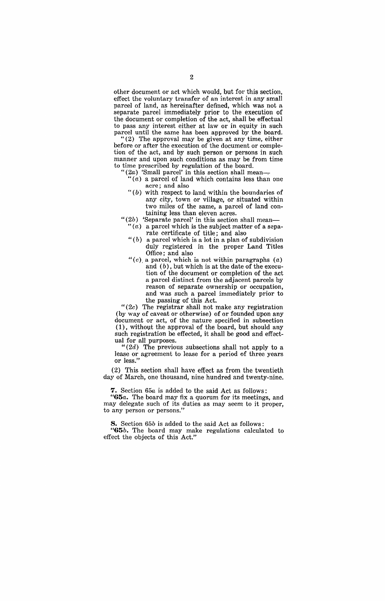other document or act which would, but for this section, effect the voluntary transfer of an interest in any small parcel of land, as hereinafter defined, which was not a separate parcel immediately prior to the execution of the document or completion of the act, shall be effectual to pass any interest either at law or in equity in such parcel until the same has been approved by the board.

"(2) The approval may be given at any time, either before or after the execution of the document or completion of the act, and by such person or persons in such manner and upon such conditions as may be from time to time prescribed by regulation of the board.

- $(2a)$  'Small parcel' in this section shall mean-
	- " $(a)$  a parcel of land which contains less than one acre; and also
	- " $(b)$  with respect to land within the boundaries of any city, town or village, or situated within two miles of the same, a parcel of land containing less than eleven acres.
- "(2b) 'Separate parcel' in this section shall mean-
	- " $(a)$  a parcel which is the subject matter of a separate certificate of title; and also
	- " $(b)$  a parcel which is a lot in a plan of subdivision duly registered in the proper Land Titles Office; and also
	- "(c) a parcel, which is not within paragraphs  $(a)$ and  $(b)$ , but which is at the date of the execution of the document or completion of the act a parcel distinct from the adjacent parcels by reason of separate ownership or occupation, and was such a parcel immediately prior to the passing of this Act.

*"(2c)* The registrar shall not make any registration (by way of caveat or otherwise) of or founded upon any document or act, of the nature specified in subsection  $(1)$ , without the approval of the board, but should any such registration be effected, it shall be good and effectual for all purposes.

*"(2d)* The previous subsections shall not apply to a lease or agreement to lease for a period of three years or less."

(2) This section shall have effect as from the twentieth day of March, one thousand, nine hundred and twenty-nine.

**7.** Section *65a* is added to the said Act as follows:

"G5a. The board may fix a quorum for its meetings, and may delegate such of its duties as may seem to it proper, to any person or persons."

8. Section *65b* is added to the said Act as follows:

*"65b.* The board may make regulations calculated to effect the objects of this Act."